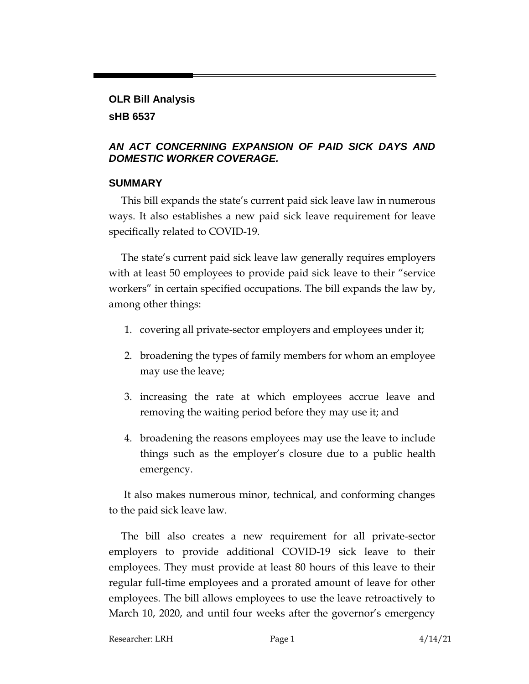# **OLR Bill Analysis sHB 6537**

### *AN ACT CONCERNING EXPANSION OF PAID SICK DAYS AND DOMESTIC WORKER COVERAGE.*

#### **SUMMARY**

This bill expands the state's current paid sick leave law in numerous ways. It also establishes a new paid sick leave requirement for leave specifically related to COVID-19.

The state's current paid sick leave law generally requires employers with at least 50 employees to provide paid sick leave to their "service workers" in certain specified occupations. The bill expands the law by, among other things:

- 1. covering all private-sector employers and employees under it;
- 2. broadening the types of family members for whom an employee may use the leave;
- 3. increasing the rate at which employees accrue leave and removing the waiting period before they may use it; and
- 4. broadening the reasons employees may use the leave to include things such as the employer's closure due to a public health emergency.

It also makes numerous minor, technical, and conforming changes to the paid sick leave law.

The bill also creates a new requirement for all private-sector employers to provide additional COVID-19 sick leave to their employees. They must provide at least 80 hours of this leave to their regular full-time employees and a prorated amount of leave for other employees. The bill allows employees to use the leave retroactively to March 10, 2020, and until four weeks after the governor's emergency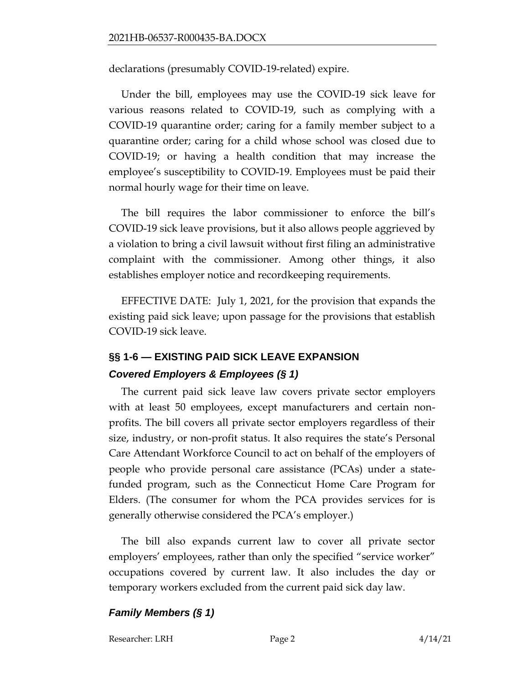declarations (presumably COVID-19-related) expire.

Under the bill, employees may use the COVID-19 sick leave for various reasons related to COVID-19, such as complying with a COVID-19 quarantine order; caring for a family member subject to a quarantine order; caring for a child whose school was closed due to COVID-19; or having a health condition that may increase the employee's susceptibility to COVID-19. Employees must be paid their normal hourly wage for their time on leave.

The bill requires the labor commissioner to enforce the bill's COVID-19 sick leave provisions, but it also allows people aggrieved by a violation to bring a civil lawsuit without first filing an administrative complaint with the commissioner. Among other things, it also establishes employer notice and recordkeeping requirements.

EFFECTIVE DATE: July 1, 2021, for the provision that expands the existing paid sick leave; upon passage for the provisions that establish COVID-19 sick leave.

# **§§ 1-6 — EXISTING PAID SICK LEAVE EXPANSION** *Covered Employers & Employees (§ 1)*

The current paid sick leave law covers private sector employers with at least 50 employees, except manufacturers and certain nonprofits. The bill covers all private sector employers regardless of their size, industry, or non-profit status. It also requires the state's Personal Care Attendant Workforce Council to act on behalf of the employers of people who provide personal care assistance (PCAs) under a statefunded program, such as the Connecticut Home Care Program for Elders. (The consumer for whom the PCA provides services for is generally otherwise considered the PCA's employer.)

The bill also expands current law to cover all private sector employers' employees, rather than only the specified "service worker" occupations covered by current law. It also includes the day or temporary workers excluded from the current paid sick day law.

### *Family Members (§ 1)*

Researcher: LRH Page 2 4/14/21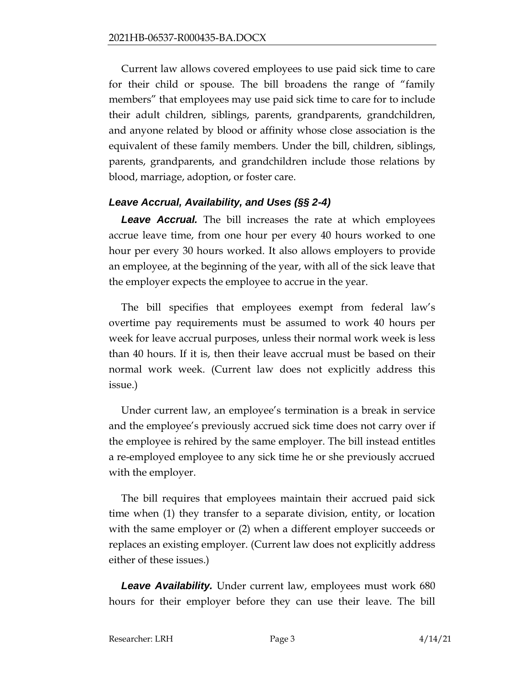Current law allows covered employees to use paid sick time to care for their child or spouse. The bill broadens the range of "family members" that employees may use paid sick time to care for to include their adult children, siblings, parents, grandparents, grandchildren, and anyone related by blood or affinity whose close association is the equivalent of these family members. Under the bill, children, siblings, parents, grandparents, and grandchildren include those relations by blood, marriage, adoption, or foster care.

### *Leave Accrual, Availability, and Uses (§§ 2-4)*

*Leave Accrual.* The bill increases the rate at which employees accrue leave time, from one hour per every 40 hours worked to one hour per every 30 hours worked. It also allows employers to provide an employee, at the beginning of the year, with all of the sick leave that the employer expects the employee to accrue in the year.

The bill specifies that employees exempt from federal law's overtime pay requirements must be assumed to work 40 hours per week for leave accrual purposes, unless their normal work week is less than 40 hours. If it is, then their leave accrual must be based on their normal work week. (Current law does not explicitly address this issue.)

Under current law, an employee's termination is a break in service and the employee's previously accrued sick time does not carry over if the employee is rehired by the same employer. The bill instead entitles a re-employed employee to any sick time he or she previously accrued with the employer.

The bill requires that employees maintain their accrued paid sick time when (1) they transfer to a separate division, entity, or location with the same employer or (2) when a different employer succeeds or replaces an existing employer. (Current law does not explicitly address either of these issues.)

*Leave Availability.* Under current law, employees must work 680 hours for their employer before they can use their leave. The bill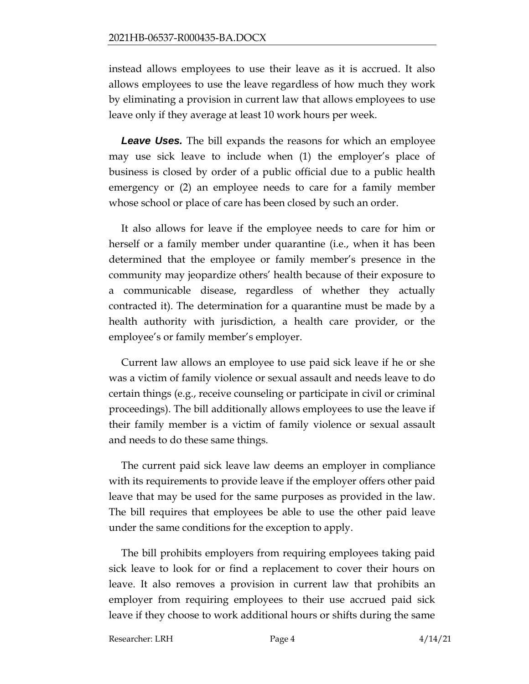instead allows employees to use their leave as it is accrued. It also allows employees to use the leave regardless of how much they work by eliminating a provision in current law that allows employees to use leave only if they average at least 10 work hours per week.

*Leave Uses.* The bill expands the reasons for which an employee may use sick leave to include when (1) the employer's place of business is closed by order of a public official due to a public health emergency or (2) an employee needs to care for a family member whose school or place of care has been closed by such an order.

It also allows for leave if the employee needs to care for him or herself or a family member under quarantine (i.e., when it has been determined that the employee or family member's presence in the community may jeopardize others' health because of their exposure to a communicable disease, regardless of whether they actually contracted it). The determination for a quarantine must be made by a health authority with jurisdiction, a health care provider, or the employee's or family member's employer.

Current law allows an employee to use paid sick leave if he or she was a victim of family violence or sexual assault and needs leave to do certain things (e.g., receive counseling or participate in civil or criminal proceedings). The bill additionally allows employees to use the leave if their family member is a victim of family violence or sexual assault and needs to do these same things.

The current paid sick leave law deems an employer in compliance with its requirements to provide leave if the employer offers other paid leave that may be used for the same purposes as provided in the law. The bill requires that employees be able to use the other paid leave under the same conditions for the exception to apply.

The bill prohibits employers from requiring employees taking paid sick leave to look for or find a replacement to cover their hours on leave. It also removes a provision in current law that prohibits an employer from requiring employees to their use accrued paid sick leave if they choose to work additional hours or shifts during the same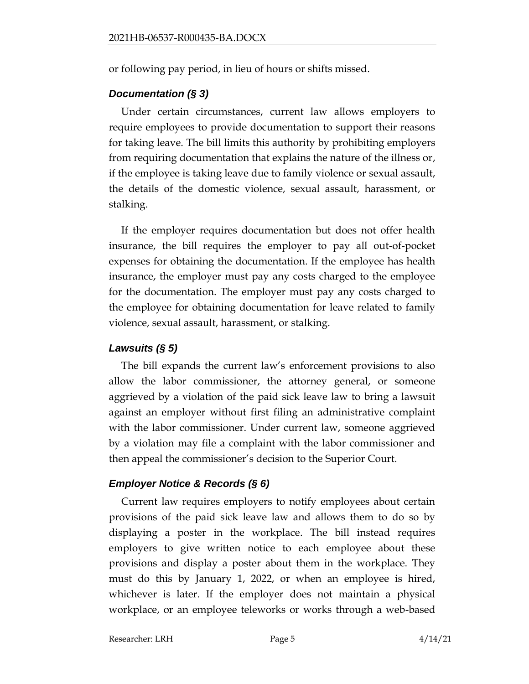or following pay period, in lieu of hours or shifts missed.

### *Documentation (§ 3)*

Under certain circumstances, current law allows employers to require employees to provide documentation to support their reasons for taking leave. The bill limits this authority by prohibiting employers from requiring documentation that explains the nature of the illness or, if the employee is taking leave due to family violence or sexual assault, the details of the domestic violence, sexual assault, harassment, or stalking.

If the employer requires documentation but does not offer health insurance, the bill requires the employer to pay all out-of-pocket expenses for obtaining the documentation. If the employee has health insurance, the employer must pay any costs charged to the employee for the documentation. The employer must pay any costs charged to the employee for obtaining documentation for leave related to family violence, sexual assault, harassment, or stalking.

### *Lawsuits (§ 5)*

The bill expands the current law's enforcement provisions to also allow the labor commissioner, the attorney general, or someone aggrieved by a violation of the paid sick leave law to bring a lawsuit against an employer without first filing an administrative complaint with the labor commissioner. Under current law, someone aggrieved by a violation may file a complaint with the labor commissioner and then appeal the commissioner's decision to the Superior Court.

# *Employer Notice & Records (§ 6)*

Current law requires employers to notify employees about certain provisions of the paid sick leave law and allows them to do so by displaying a poster in the workplace. The bill instead requires employers to give written notice to each employee about these provisions and display a poster about them in the workplace. They must do this by January 1, 2022, or when an employee is hired, whichever is later. If the employer does not maintain a physical workplace, or an employee teleworks or works through a web-based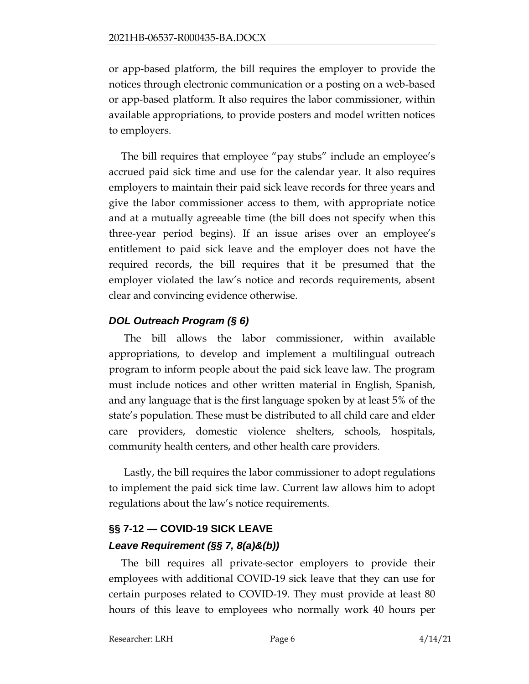or app-based platform, the bill requires the employer to provide the notices through electronic communication or a posting on a web-based or app-based platform. It also requires the labor commissioner, within available appropriations, to provide posters and model written notices to employers.

The bill requires that employee "pay stubs" include an employee's accrued paid sick time and use for the calendar year. It also requires employers to maintain their paid sick leave records for three years and give the labor commissioner access to them, with appropriate notice and at a mutually agreeable time (the bill does not specify when this three-year period begins). If an issue arises over an employee's entitlement to paid sick leave and the employer does not have the required records, the bill requires that it be presumed that the employer violated the law's notice and records requirements, absent clear and convincing evidence otherwise.

### *DOL Outreach Program (§ 6)*

The bill allows the labor commissioner, within available appropriations, to develop and implement a multilingual outreach program to inform people about the paid sick leave law. The program must include notices and other written material in English, Spanish, and any language that is the first language spoken by at least 5% of the state's population. These must be distributed to all child care and elder care providers, domestic violence shelters, schools, hospitals, community health centers, and other health care providers.

Lastly, the bill requires the labor commissioner to adopt regulations to implement the paid sick time law. Current law allows him to adopt regulations about the law's notice requirements.

# **§§ 7-12 — COVID-19 SICK LEAVE** *Leave Requirement (§§ 7, 8(a)&(b))*

The bill requires all private-sector employers to provide their employees with additional COVID-19 sick leave that they can use for certain purposes related to COVID-19. They must provide at least 80 hours of this leave to employees who normally work 40 hours per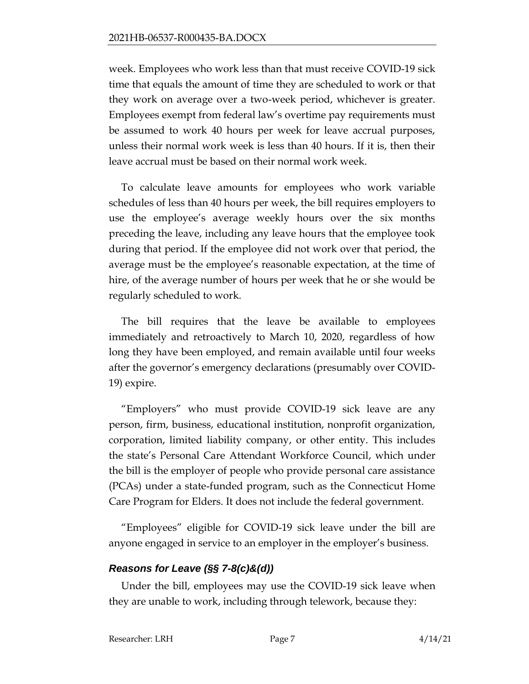week. Employees who work less than that must receive COVID-19 sick time that equals the amount of time they are scheduled to work or that they work on average over a two-week period, whichever is greater. Employees exempt from federal law's overtime pay requirements must be assumed to work 40 hours per week for leave accrual purposes, unless their normal work week is less than 40 hours. If it is, then their leave accrual must be based on their normal work week.

To calculate leave amounts for employees who work variable schedules of less than 40 hours per week, the bill requires employers to use the employee's average weekly hours over the six months preceding the leave, including any leave hours that the employee took during that period. If the employee did not work over that period, the average must be the employee's reasonable expectation, at the time of hire, of the average number of hours per week that he or she would be regularly scheduled to work.

The bill requires that the leave be available to employees immediately and retroactively to March 10, 2020, regardless of how long they have been employed, and remain available until four weeks after the governor's emergency declarations (presumably over COVID-19) expire.

"Employers" who must provide COVID-19 sick leave are any person, firm, business, educational institution, nonprofit organization, corporation, limited liability company, or other entity. This includes the state's Personal Care Attendant Workforce Council, which under the bill is the employer of people who provide personal care assistance (PCAs) under a state-funded program, such as the Connecticut Home Care Program for Elders. It does not include the federal government.

"Employees" eligible for COVID-19 sick leave under the bill are anyone engaged in service to an employer in the employer's business.

#### *Reasons for Leave (§§ 7-8(c)&(d))*

Under the bill, employees may use the COVID-19 sick leave when they are unable to work, including through telework, because they: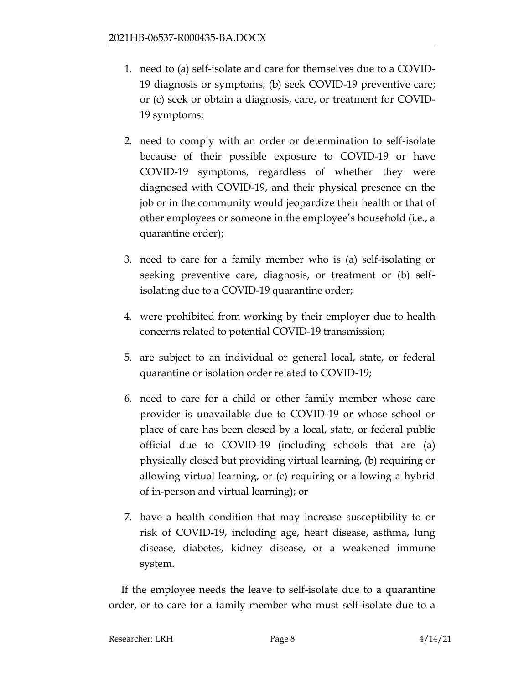- 1. need to (a) self-isolate and care for themselves due to a COVID-19 diagnosis or symptoms; (b) seek COVID-19 preventive care; or (c) seek or obtain a diagnosis, care, or treatment for COVID-19 symptoms;
- 2. need to comply with an order or determination to self-isolate because of their possible exposure to COVID-19 or have COVID-19 symptoms, regardless of whether they were diagnosed with COVID-19, and their physical presence on the job or in the community would jeopardize their health or that of other employees or someone in the employee's household (i.e., a quarantine order);
- 3. need to care for a family member who is (a) self-isolating or seeking preventive care, diagnosis, or treatment or (b) selfisolating due to a COVID-19 quarantine order;
- 4. were prohibited from working by their employer due to health concerns related to potential COVID-19 transmission;
- 5. are subject to an individual or general local, state, or federal quarantine or isolation order related to COVID-19;
- 6. need to care for a child or other family member whose care provider is unavailable due to COVID-19 or whose school or place of care has been closed by a local, state, or federal public official due to COVID-19 (including schools that are (a) physically closed but providing virtual learning, (b) requiring or allowing virtual learning, or (c) requiring or allowing a hybrid of in-person and virtual learning); or
- 7. have a health condition that may increase susceptibility to or risk of COVID-19, including age, heart disease, asthma, lung disease, diabetes, kidney disease, or a weakened immune system.

If the employee needs the leave to self-isolate due to a quarantine order, or to care for a family member who must self-isolate due to a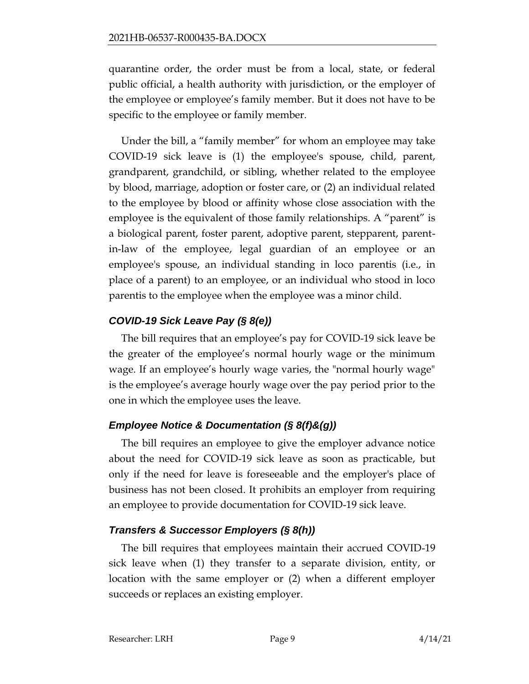quarantine order, the order must be from a local, state, or federal public official, a health authority with jurisdiction, or the employer of the employee or employee's family member. But it does not have to be specific to the employee or family member.

Under the bill, a "family member" for whom an employee may take COVID-19 sick leave is (1) the employee's spouse, child, parent, grandparent, grandchild, or sibling, whether related to the employee by blood, marriage, adoption or foster care, or (2) an individual related to the employee by blood or affinity whose close association with the employee is the equivalent of those family relationships. A "parent" is a biological parent, foster parent, adoptive parent, stepparent, parentin-law of the employee, legal guardian of an employee or an employee's spouse, an individual standing in loco parentis (i.e., in place of a parent) to an employee, or an individual who stood in loco parentis to the employee when the employee was a minor child.

### *COVID-19 Sick Leave Pay (§ 8(e))*

The bill requires that an employee's pay for COVID-19 sick leave be the greater of the employee's normal hourly wage or the minimum wage. If an employee's hourly wage varies, the "normal hourly wage" is the employee's average hourly wage over the pay period prior to the one in which the employee uses the leave.

# *Employee Notice & Documentation (§ 8(f)&(g))*

The bill requires an employee to give the employer advance notice about the need for COVID-19 sick leave as soon as practicable, but only if the need for leave is foreseeable and the employer's place of business has not been closed. It prohibits an employer from requiring an employee to provide documentation for COVID-19 sick leave.

### *Transfers & Successor Employers (§ 8(h))*

The bill requires that employees maintain their accrued COVID-19 sick leave when (1) they transfer to a separate division, entity, or location with the same employer or (2) when a different employer succeeds or replaces an existing employer.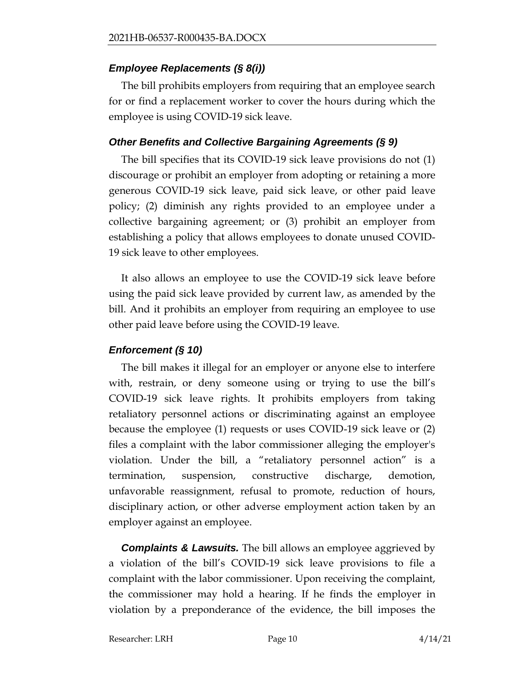### *Employee Replacements (§ 8(i))*

The bill prohibits employers from requiring that an employee search for or find a replacement worker to cover the hours during which the employee is using COVID-19 sick leave.

### *Other Benefits and Collective Bargaining Agreements (§ 9)*

The bill specifies that its COVID-19 sick leave provisions do not (1) discourage or prohibit an employer from adopting or retaining a more generous COVID-19 sick leave, paid sick leave, or other paid leave policy; (2) diminish any rights provided to an employee under a collective bargaining agreement; or (3) prohibit an employer from establishing a policy that allows employees to donate unused COVID-19 sick leave to other employees.

It also allows an employee to use the COVID-19 sick leave before using the paid sick leave provided by current law, as amended by the bill. And it prohibits an employer from requiring an employee to use other paid leave before using the COVID-19 leave.

### *Enforcement (§ 10)*

The bill makes it illegal for an employer or anyone else to interfere with, restrain, or deny someone using or trying to use the bill's COVID-19 sick leave rights. It prohibits employers from taking retaliatory personnel actions or discriminating against an employee because the employee (1) requests or uses COVID-19 sick leave or (2) files a complaint with the labor commissioner alleging the employer's violation. Under the bill, a "retaliatory personnel action" is a termination, suspension, constructive discharge, demotion, unfavorable reassignment, refusal to promote, reduction of hours, disciplinary action, or other adverse employment action taken by an employer against an employee.

*Complaints & Lawsuits.* The bill allows an employee aggrieved by a violation of the bill's COVID-19 sick leave provisions to file a complaint with the labor commissioner. Upon receiving the complaint, the commissioner may hold a hearing. If he finds the employer in violation by a preponderance of the evidence, the bill imposes the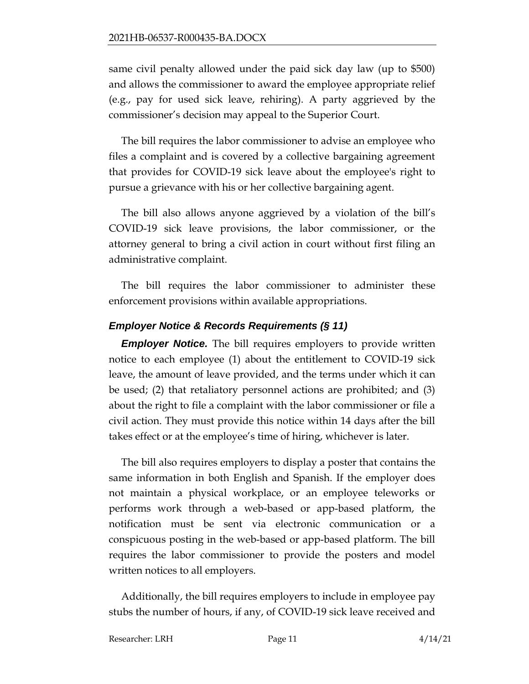same civil penalty allowed under the paid sick day law (up to \$500) and allows the commissioner to award the employee appropriate relief (e.g., pay for used sick leave, rehiring). A party aggrieved by the commissioner's decision may appeal to the Superior Court.

The bill requires the labor commissioner to advise an employee who files a complaint and is covered by a collective bargaining agreement that provides for COVID-19 sick leave about the employee's right to pursue a grievance with his or her collective bargaining agent.

The bill also allows anyone aggrieved by a violation of the bill's COVID-19 sick leave provisions, the labor commissioner, or the attorney general to bring a civil action in court without first filing an administrative complaint.

The bill requires the labor commissioner to administer these enforcement provisions within available appropriations.

### *Employer Notice & Records Requirements (§ 11)*

*Employer Notice.* The bill requires employers to provide written notice to each employee (1) about the entitlement to COVID-19 sick leave, the amount of leave provided, and the terms under which it can be used; (2) that retaliatory personnel actions are prohibited; and (3) about the right to file a complaint with the labor commissioner or file a civil action. They must provide this notice within 14 days after the bill takes effect or at the employee's time of hiring, whichever is later.

The bill also requires employers to display a poster that contains the same information in both English and Spanish. If the employer does not maintain a physical workplace, or an employee teleworks or performs work through a web-based or app-based platform, the notification must be sent via electronic communication or a conspicuous posting in the web-based or app-based platform. The bill requires the labor commissioner to provide the posters and model written notices to all employers.

Additionally, the bill requires employers to include in employee pay stubs the number of hours, if any, of COVID-19 sick leave received and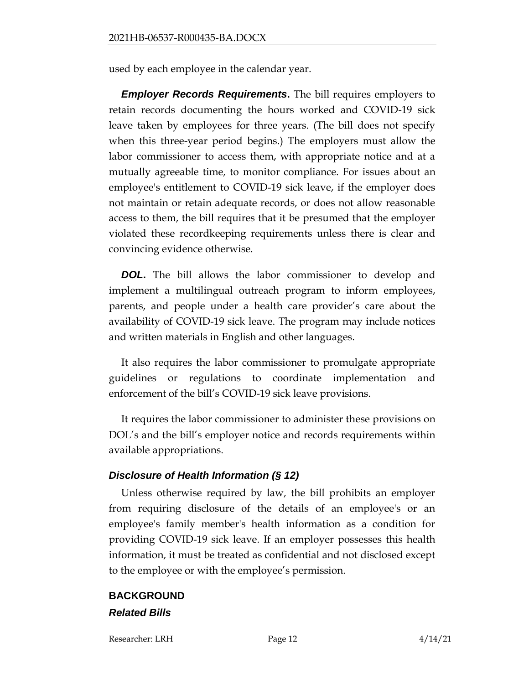used by each employee in the calendar year.

*Employer Records Requirements***.** The bill requires employers to retain records documenting the hours worked and COVID-19 sick leave taken by employees for three years. (The bill does not specify when this three-year period begins.) The employers must allow the labor commissioner to access them, with appropriate notice and at a mutually agreeable time, to monitor compliance. For issues about an employee's entitlement to COVID-19 sick leave, if the employer does not maintain or retain adequate records, or does not allow reasonable access to them, the bill requires that it be presumed that the employer violated these recordkeeping requirements unless there is clear and convincing evidence otherwise.

*DOL***.** The bill allows the labor commissioner to develop and implement a multilingual outreach program to inform employees, parents, and people under a health care provider's care about the availability of COVID-19 sick leave. The program may include notices and written materials in English and other languages.

It also requires the labor commissioner to promulgate appropriate guidelines or regulations to coordinate implementation and enforcement of the bill's COVID-19 sick leave provisions.

It requires the labor commissioner to administer these provisions on DOL's and the bill's employer notice and records requirements within available appropriations.

#### *Disclosure of Health Information (§ 12)*

Unless otherwise required by law, the bill prohibits an employer from requiring disclosure of the details of an employee's or an employee's family member's health information as a condition for providing COVID-19 sick leave. If an employer possesses this health information, it must be treated as confidential and not disclosed except to the employee or with the employee's permission.

# **BACKGROUND** *Related Bills*

Researcher: LRH Page 12 4/14/21